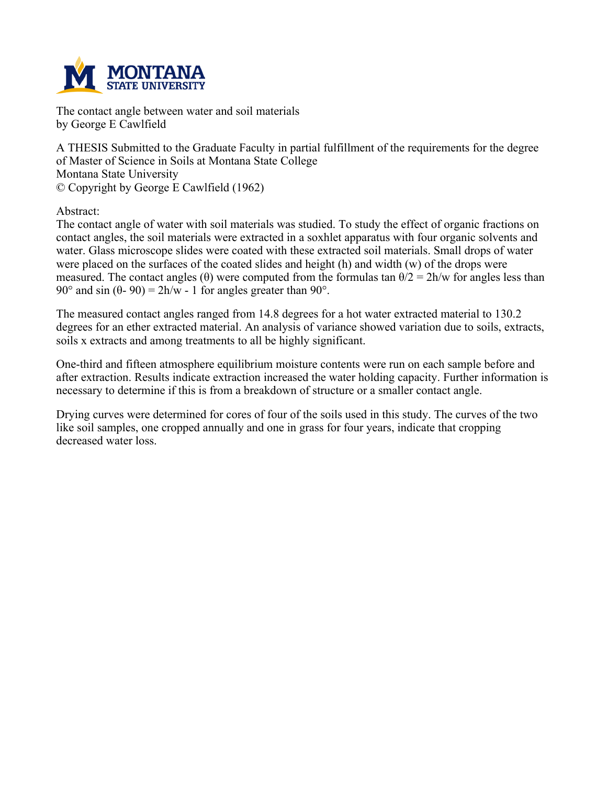

**The contact angle between water and soil materials by George E Cawlfield**

**A THESIS Submitted to the Graduate Faculty in partial fulfillment of the requirements for the degree of Master of Science in Soils at Montana State College Montana State University © Copyright by George E Cawlfield (1962)**

**Abstract:**

The contact angle of water with soil materials was studied. To study the effect of organic fractions on **contact angles, the soil materials were extracted in a soxhlet apparatus with four organic solvents and water. Glass microscope slides were coated with these extracted soil materials. Small drops of water** were placed on the surfaces of the coated slides and height (h) and width (w) of the drops were measured. The contact angles ( $\theta$ ) were computed from the formulas tan  $\theta/2 = 2h/w$  for angles less than **90° and sin (θ- 90) = 2h/w - 1 for angles greater than 90°.**

**The measured contact angles ranged from 14.8 degrees for a hot water extracted material to 130.2 degrees for an ether extracted material. An analysis of variance showed variation due to soils, extracts, soils x extracts and among treatments to all be highly significant.**

**One-third and fifteen atmosphere equilibrium moisture contents were run on each sample before and after extraction. Results indicate extraction increased the water holding capacity. Further information is necessary to determine if this is from a breakdown of structure or a smaller contact angle.**

Drying curves were determined for cores of four of the soils used in this study. The curves of the two **like soil samples, one cropped annually and one in grass for four years, indicate that cropping decreased water loss.**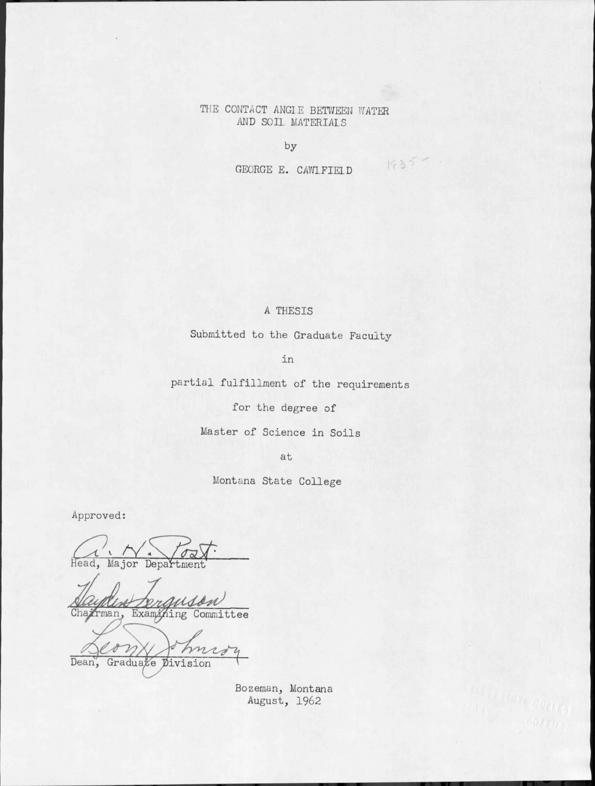## THE CONTACT ANGLE BETWEEN WATER AND SOIL MATERIALS

by

GEORGE E. CAWLFIELD

 $1935 -$ 

## A THESIS

Submitted to the Graduate Faculty

in

partial fulfillment of the requirements

for the degree of

Master of Science in Soils

at

Montana State College

Approved:

Head, Major Department

Chairman, Examining Committee

Ã, Dean, Graduate Division

Bozeman, Montana August, 1962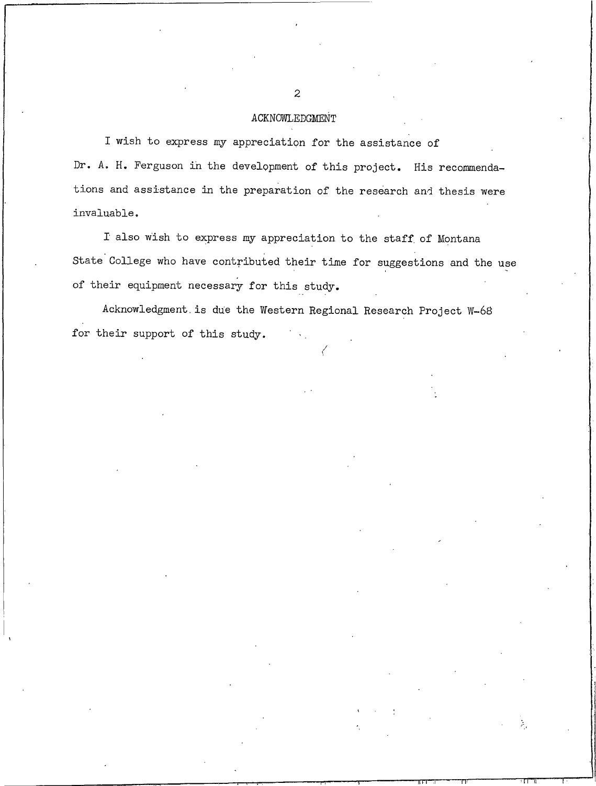### ACKNOWLEDGMENT

I wish to express my appreciation for the assistance of Dr. A. H. Ferguson in the development of this project. His recommendations and assistance in the preparation of the research and thesis were invaluable.

I also wish to express my appreciation to the staff of Montana State College who have contributed their time for suggestions and the use of their equipment necessary for this study.

Acknowledgment is due the Western Regional Research Project W-68 for their support of this study.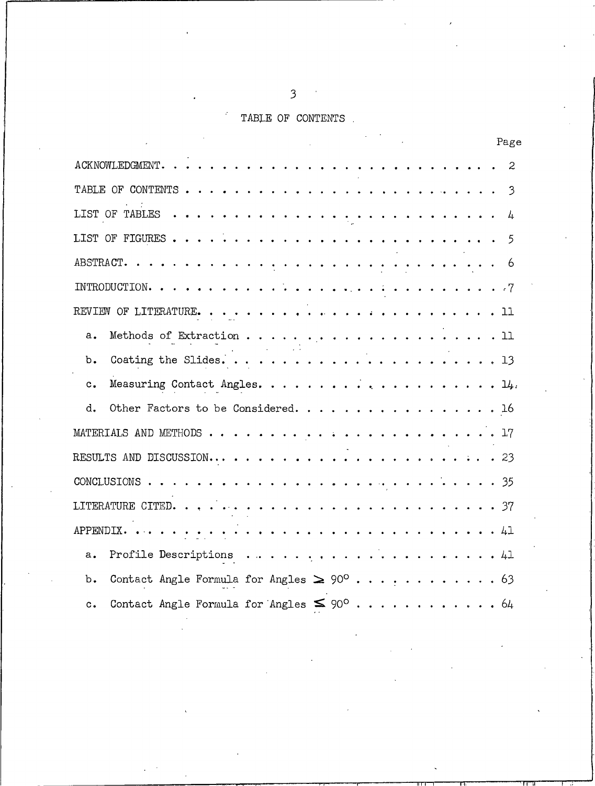# TABLE OF CONTENTS

| Page                                                                   |
|------------------------------------------------------------------------|
| 2                                                                      |
|                                                                        |
|                                                                        |
|                                                                        |
|                                                                        |
|                                                                        |
|                                                                        |
| $a_{\bullet}$                                                          |
| $b$ .                                                                  |
| $c_{\bullet}$                                                          |
| Other Factors to be Considered. 16<br>d.                               |
|                                                                        |
|                                                                        |
|                                                                        |
|                                                                        |
|                                                                        |
| $a_{\bullet}$                                                          |
| b.                                                                     |
| Contact Angle Formula for Angles $\leq 90^{\circ}$ 64<br>$c_{\bullet}$ |

 $\mathfrak{Z}$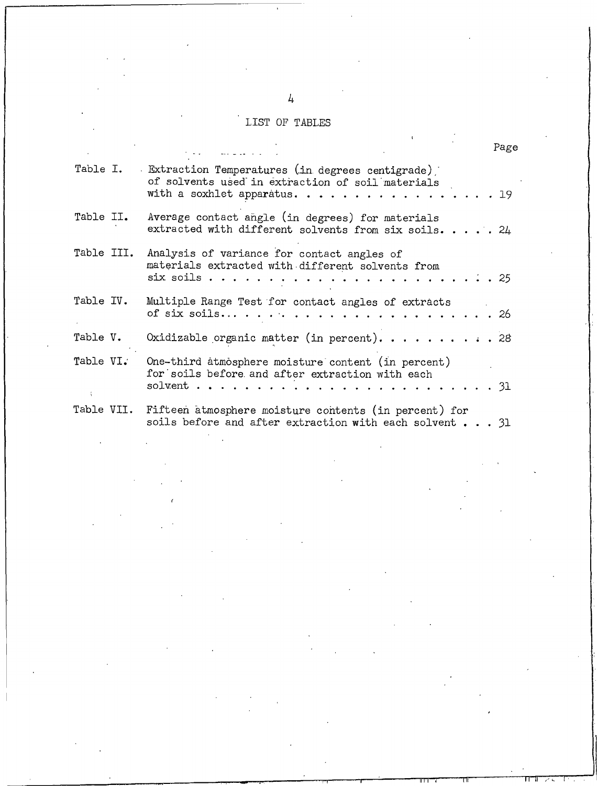# LIST OF TABLES

|            |                                                                                                                                           | Page |
|------------|-------------------------------------------------------------------------------------------------------------------------------------------|------|
|            | Table I. Extraction Temperatures (in degrees centigrade)<br>of solvents used in extraction of soil materials<br>with a soxhlet apparatus. | 19   |
| Table II.  | Average contact angle (in degrees) for materials<br>extracted with different solvents from six soils. 24                                  |      |
| Table III. | Analysis of variance for contact angles of<br>materials extracted with different solvents from<br>six soils                               | -25  |
| Table IV.  | Multiple Range Test for contact angles of extracts<br>of six soils $\ldots$<br>. 26                                                       |      |
| Table V.   | Oxidizable organic matter (in percent). 28                                                                                                |      |
| Table VI.  | One-third atmosphere moisture content (in percent)<br>for soils before and after extraction with each<br>solvent.                         | . 31 |
|            | Table VII. Fifteen atmosphere moisture contents (in percent) for<br>soils before and after extraction with each solvent $\ldots$ 31       |      |

 $\frac{1}{2}$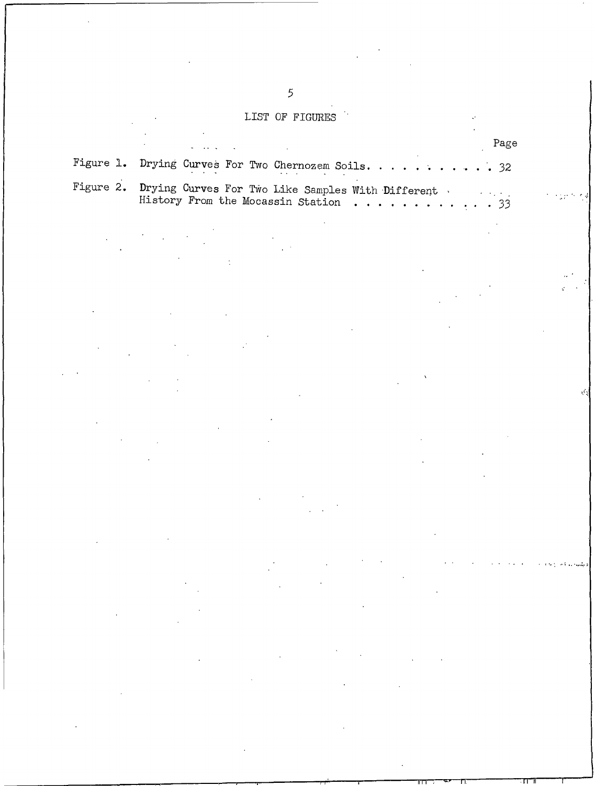# LIST OF FIGURES

| $\mathbf{w}$ . The spectral product is a set of the spectral product of $\mathbf{w}$                   | Page |
|--------------------------------------------------------------------------------------------------------|------|
| Figure 1. Drying Curves For Two Chernozem Soils. 32<br>the contract of the contract of the contract of |      |
| Figure 2. Drying Curves For Two Like Samples With Different<br>History From the Mocassin Station 33    |      |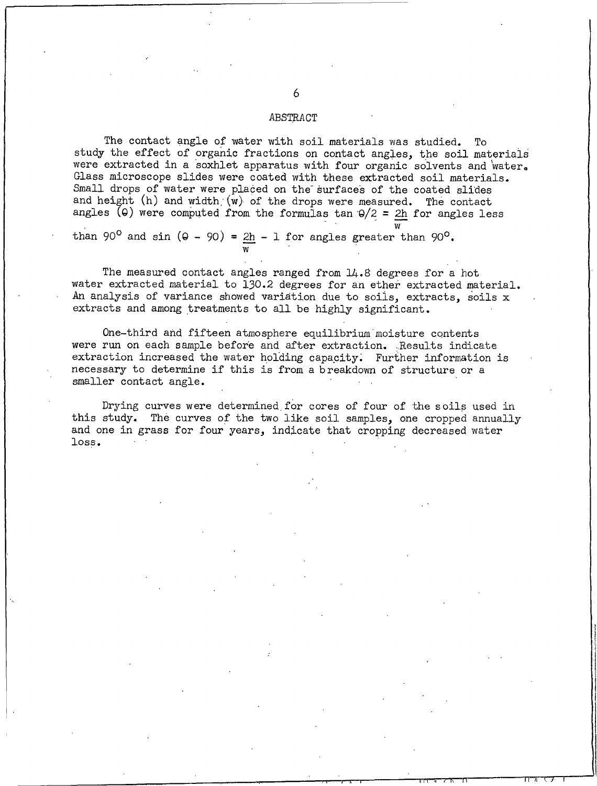#### ABSTRACT

The contact angle of water with soil materials was studied. To study the effect of organic fractions on contact angles, the soil materials were extracted in a soxhlet apparatus with four organic solvents and water. Glass microscope slides were coated with these extracted soil materials. Small drops of water were placed on the surfaces of the coated slides and height (h) and width (w) of the drops were measured. The contact angles ( $\Theta$ ) were computed from the formulas tan  $\Theta/2 = 2h$  for angles less

than 90<sup>°</sup> and sin ( $\theta$  - 90) =  $2h$  - 1 for angles greater than 90<sup>°</sup>.

The measured contact angles ranged from 14.8 degrees for a hot water extracted material to 130.2 degrees for an ether extracted material. An analysis of variance showed variation due to soils, extracts, soils x extracts and among treatments to all be highly significant.

One-third and fifteen atmosphere equilibrium moisture contents were run on each sample before and after extraction. Results indicate extraction increased the water holding capacity. Further information is necessary to determine if this is from a breakdown of structure or a smaller contact angle.

Drying curves were determined for cores of four of the soils used in this study. The curves of the two like soil samples, one cropped annually and one in grass for four years, indicate that cropping decreased water loss.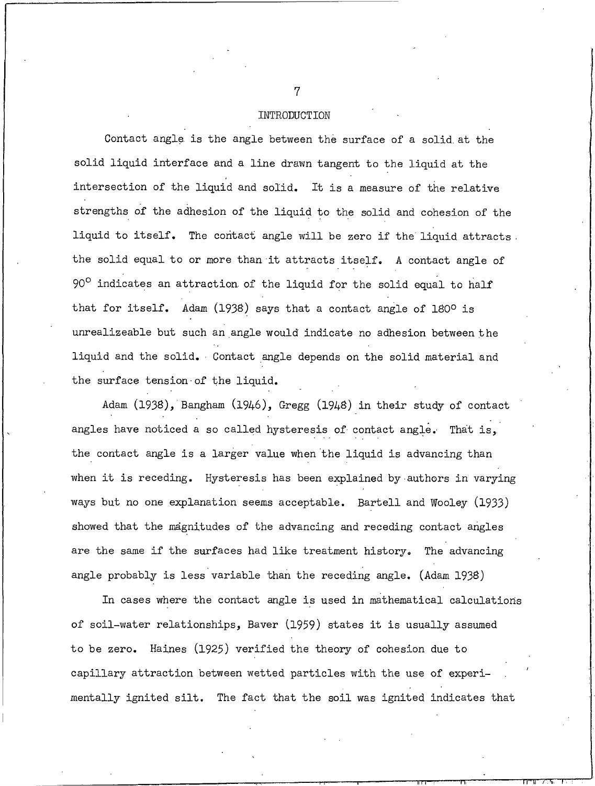#### INTRODUCTION

Contact angle is the angle between the surface of a solid at the solid liquid interface and a line drawn tangent to the liquid at the intersection of the liquid and solid. It is a measure of the relative strengths of the adhesion of the liquid to the solid and cohesion of the liquid to itself. The contact angle will be zero if the liquid attracts. the solid equal to or more than it attracts itself. A contact angle of 90° indicates an attraction of the liquid for the solid equal to half that for itself. Adam (1938) says that a contact angle of 180° is unrealizeable but such an angle would indicate no adhesion between the liquid and the solid. Contact angle depends on the solid material and the surface tension of the liquid.

Adam (1938), Bangham (1946), Gregg (1948) in their study of contact angles have noticed a so called hysteresis of contact angle. That is, the contact angle is a larger value when the liquid is advancing than when it is receding. Hysteresis has been explained by authors in varying ways but no one explanation seems acceptable. Bartell and Wooley (1933) showed that the magnitudes of the advancing and receding contact angles are the same if the surfaces had like treatment history. The advancing angle probably is less variable than the receding angle. (Adam 1938)

In cases where the contact angle is used in mathematical calculations of soil-water relationships, Baver (1959) states it is usually assumed to be zero. Haines (1925) verified the theory of cohesion due to capillary attraction between wetted particles with the use of experimentally ignited silt. The fact that the soil was ignited indicates that

 $\overline{7}$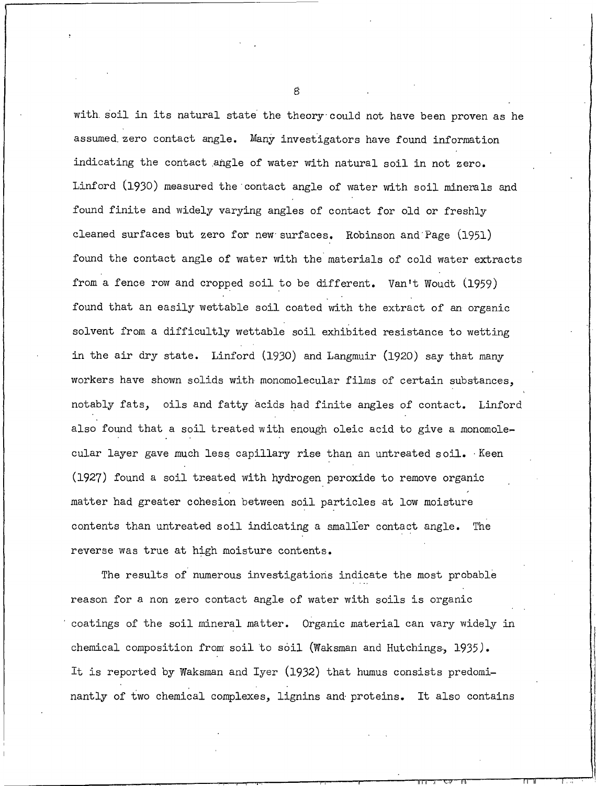with soil in its natural state the theory could not have been proven as he assumed zero contact angle. Many investigators have found information indicating the contact angle of water with natural soil in not zero. Linford (1930) measured the contact angle of water with soil minerals and found finite and widely varying angles of contact for old or freshly cleaned surfaces but zero for new surfaces. Robinson and Page (1951) found the contact angle of water with the materials of cold water extracts from a fence row and cropped soil to be different. Van't Woudt (1959) found that an easily wettable soil coated with the extract of an organic solvent from a difficultly wettable soil exhibited resistance to wetting in the air dry state. Linford (1930) and Langmuir (1920) say that many workers have shown solids with monomolecular films of certain substances, notably fats, oils and fatty acids had finite angles of contact. Linford also found that a soil treated with enough oleic acid to give a monomolecular layer gave much less capillary rise than an untreated soil. Keen (1927) found a soil treated with hydrogen peroxide to remove organic matter had greater cohesion between soil particles at low moisture contents than untreated soil indicating a smaller contact angle. The reverse was true at high moisture contents.

The results of numerous investigations indicate the most probable reason for a non zero contact angle of water with soils is organic coatings of the soil mineral matter. Organic material can vary widely in chemical composition from soil to soil (Waksman and Hutchings, 1935). It is reported by Waksman and Iyer (1932) that humus consists predominantly of two chemical complexes, lignins and proteins. It also contains

 $\mathbf{g}$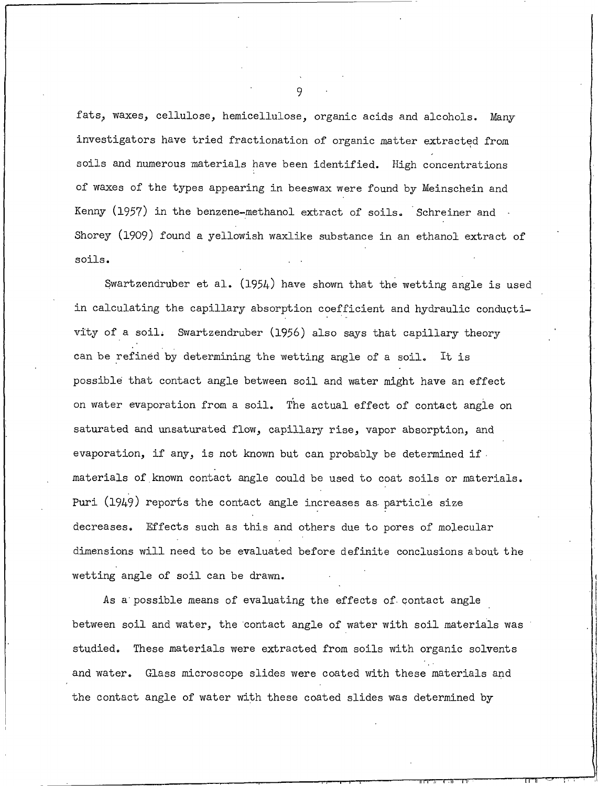fats, waxes, cellulose, hemicellulose, organic acids and alcohols. Many investigators have tried fractionation of organic matter extracted from soils and numerous materials have been identified. High concentrations of waxes of the types appearing in beeswax were found by Meinschein and Kenny (1957) in the benzene-methanol extract of soils. Schreiner and Shorey (1909) found a yellowish waxlike substance in an ethanol extract of soils.

Swartzendruber et al.  $(1954)$  have shown that the wetting angle is used in calculating the capillary absorption coefficient and hydraulic conductivity of a soil. Swartzendruber (1956) also says that capillary theory can be refined by determining the wetting angle of a soil. It is possible that contact angle between soil and water might have an effect on water evaporation from a soil. The actual effect of contact angle on saturated and unsaturated flow, capillary rise, vapor absorption, and evaporation, if any, is not known but can probably be determined if. materials of known contact angle could be used to coat soils or materials. Puri (1949) reports the contact angle increases as particle size decreases. Effects such as this and others due to pores of molecular dimensions will need to be evaluated before definite conclusions about the wetting angle of soil can be drawn.

As a possible means of evaluating the effects of contact angle between soil and water, the contact angle of water with soil materials was studied. These materials were extracted from soils with organic solvents and water. Glass microscope slides were coated with these materials and the contact angle of water with these coated slides was determined by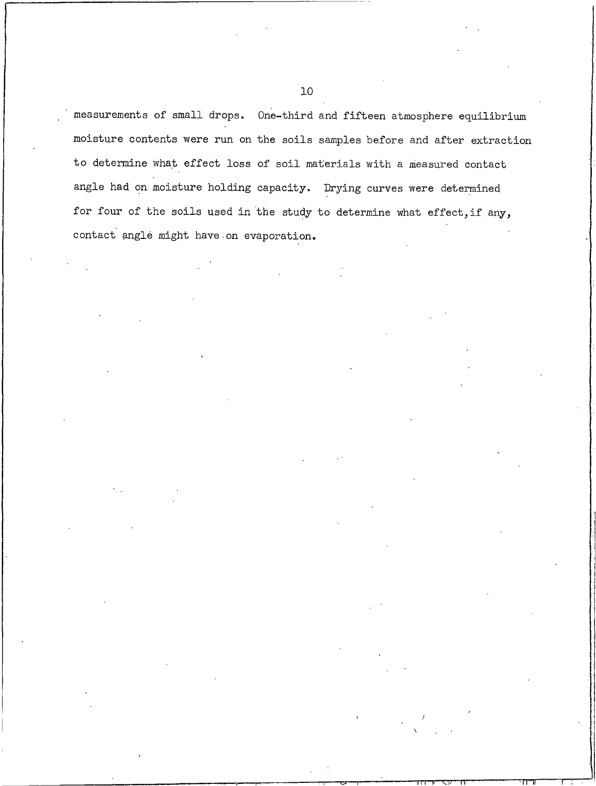measurements of small drops. One-third and fifteen atmosphere equilibrium moisture contents were run on the soils samples before and after extraction to determine what effect loss of soil materials with a measured contact angle had on moisture holding capacity. Drying curves were determined for four of the soils used in the study to determine what effect, if any, contact angle might have on evaporation.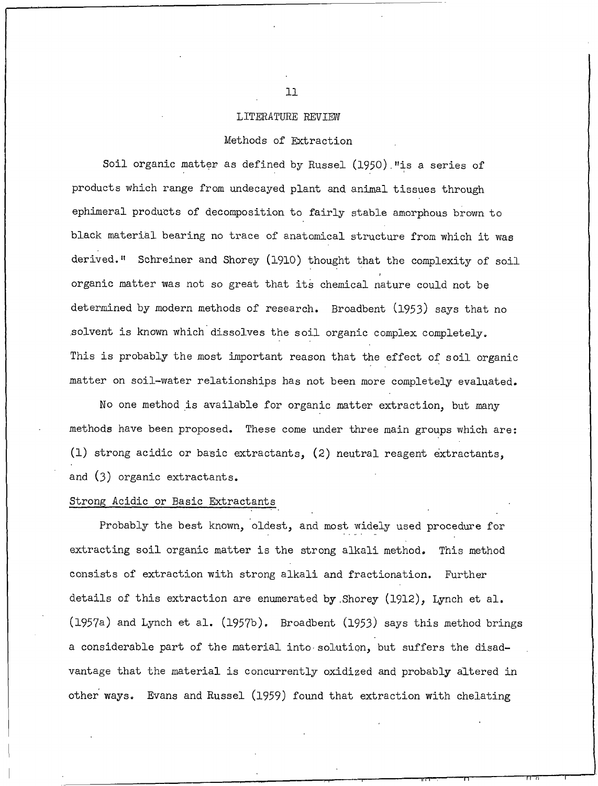#### LITERATURE REVIEW

### Methods of Extraction

Soil organic matter as defined by Russel (1950). "is a series of products which range from undecayed plant and animal tissues through ephimeral products of decomposition to fairly stable amorphous brown to black material bearing no trace of anatomical structure from which it was derived." Schreiner and Shorey (1910) thought that the complexity of soil organic matter was not so great that its chemical nature could not be determined by modern methods of research. Broadbent (1953) says that no solvent is known which dissolves the soil organic complex completely. This is probably the most important reason that the effect of soil organic matter on soil-water relationships has not been more completely evaluated.

No one method is available for organic matter extraction, but many methods have been proposed. These come under three main groups which are: (1) strong acidic or basic extractants, (2) neutral reagent extractants, and (3) organic extractants.

### Strong Acidic or Basic Extractants

Probably the best known, oldest, and most widely used procedure for extracting soil organic matter is the strong alkali method. This method consists of extraction with strong alkali and fractionation. Further details of this extraction are enumerated by Shorey (1912), Lynch et al. (1957a) and Lynch et al. (1957b). Broadbent (1953) says this method brings a considerable part of the material into solution, but suffers the disadvantage that the material is concurrently oxidized and probably altered in other ways. Evans and Russel (1959) found that extraction with chelating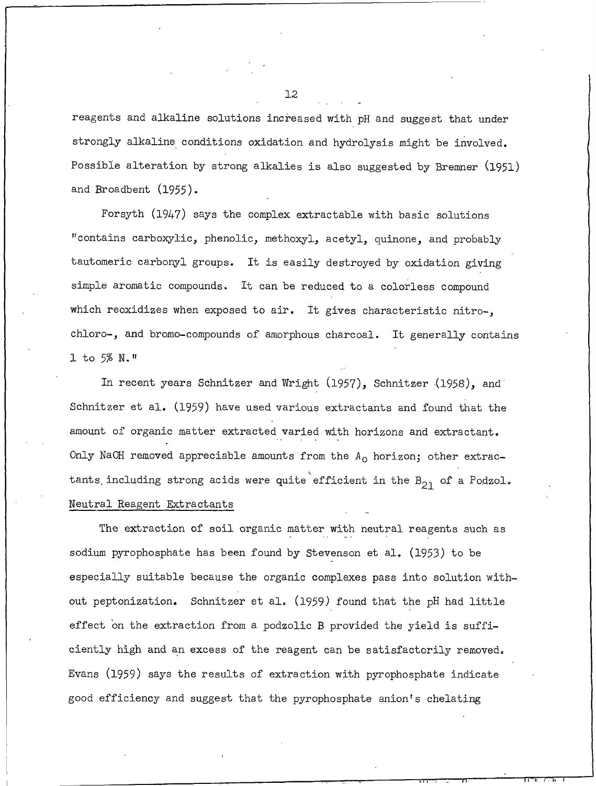reagents and alkaline solutions increased with pH and suggest that under strongly alkaline conditions oxidation and hydrolysis might be involved. Possible alteration by strong alkalies is also suggested by Bremner (1951) and Broadbent (1955).

Forsyth (1947) says the complex extractable with basic solutions "contains carboxylic, phenolic, methoxyl, acetyl, quinone, and probably tautomeric carbonyl groups. It is easily destroyed by oxidation giving simple aromatic compounds. It can be reduced to a colorless compound which reoxidizes when exposed to air. It gives characteristic nitro-, chloro-, and bromo-compounds of amorphous charcoal. It generally contains 1 to 5% N."

In recent years Schnitzer and Wright (1957), Schnitzer (1958), and Schnitzer et al. (1959) have used various extractants and found that the amount of organic matter extracted varied with horizons and extractant. Only NaOH removed appreciable amounts from the  $A_0$  horizon; other extractants including strong acids were quite efficient in the  $B_{21}$  of a Podzol. Neutral Reagent Extractants

The extraction of soil organic matter with neutral reagents such as sodium pyrophosphate has been found by Stevenson et al. (1953) to be especially suitable because the organic complexes pass into solution without peptonization. Schnitzer et al. (1959) found that the pH had little effect on the extraction from a podzolic B provided the yield is sufficiently high and an excess of the reagent can be satisfactorily removed. Evans (1959) says the results of extraction with pyrophosphate indicate good efficiency and suggest that the pyrophosphate anion's chelating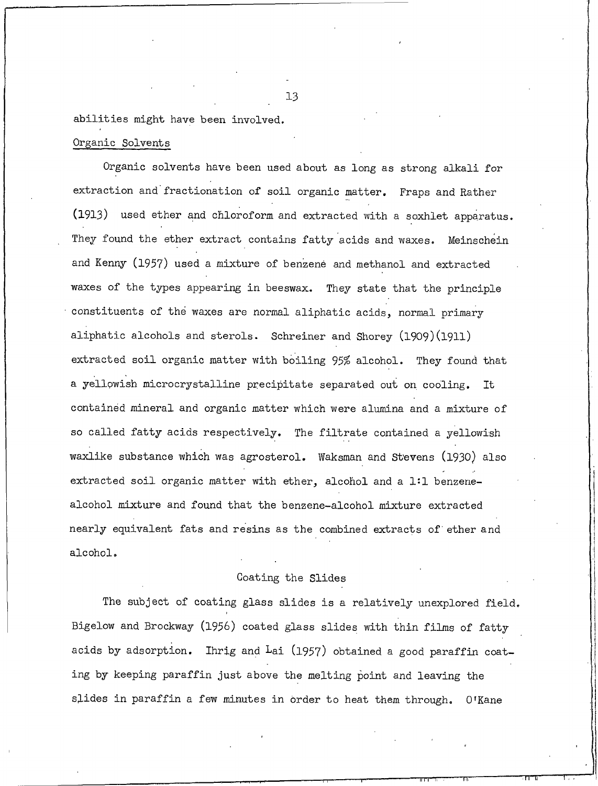## abilities might have been involved.

## Organic Solvents

Organic solvents have been used about as long as strong alkali for extraction and fractionation of soil organic matter. Fraps and Rather (1913) used ether and chloroform and extracted with a soxhlet apparatus. They found the ether extract contains fatty acids and waxes. Meinschein and Kenny (1957) used a mixture of benzene and methanol and extracted waxes of the types appearing in beeswax. They state that the principle constituents of the waxes are normal aliphatic acids, normal primary aliphatic alcohols and sterols. Schreiner and Shorey (1909) (1911) extracted soil organic matter with boiling 95% alcohol. They found that a yellowish microcrystalline precipitate separated out on cooling. It contained mineral and organic matter which were alumina and a mixture of so called fatty acids respectively. The filtrate contained a yellowish waxlike substance which was agrosterol. Waksman and Stevens (1930) also extracted soil organic matter with ether, alcohol and a 1:1 benzenealcohol mixture and found that the benzene-alcohol mixture extracted nearly equivalent fats and resins as the combined extracts of ether and alcohol.

## Coating the Slides

The subject of coating glass slides is a relatively unexplored field. Bigelow and Brockway (1956) coated glass slides with thin films of fatty acids by adsorption. Ihrig and Lai (1957) obtained a good paraffin coating by keeping paraffin just above the melting point and leaving the slides in paraffin a few minutes in order to heat them through. O'Kane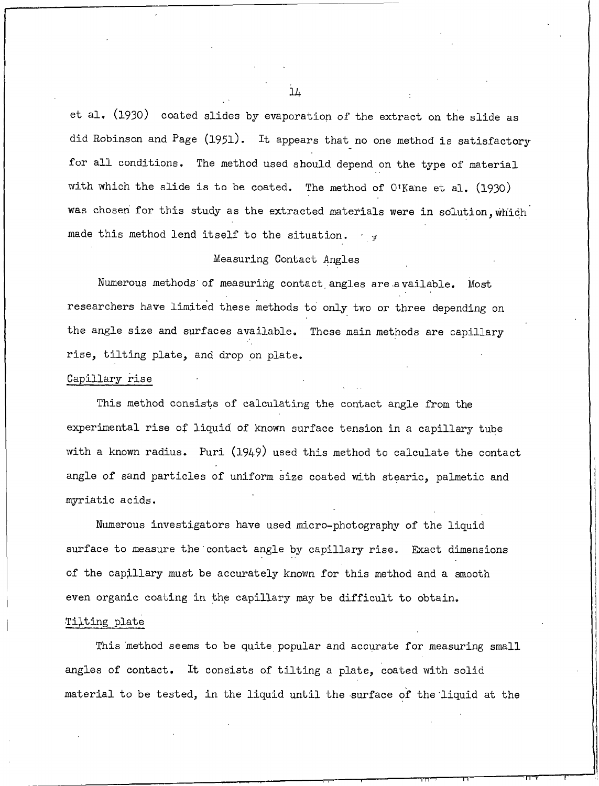et al. (1930) coated slides by evaporation of the extract on the slide as did Robinson and Page (1951). It appears that no one method is satisfactory for all conditions. The method used should depend on the type of material with which the slide is to be coated. The method of O'Kane et al. (1930) was chosen for this study as the extracted materials were in solution, which made this method lend itself to the situation.  $\frac{1}{3}$ 

## Measuring Contact Angles

Numerous methods of measuring contact angles are available. Most researchers have limited these methods to only two or three depending on the angle size and surfaces available. These main methods are capillary rise, tilting plate, and drop on plate.

#### Capillary rise

This method consists of calculating the contact angle from the experimental rise of liquid of known surface tension in a capillary tube with a known radius. Puri (1949) used this method to calculate the contact angle of sand particles of uniform size coated with stearic, palmetic and myriatic acids.

Numerous investigators have used micro-photography of the liquid surface to measure the contact angle by capillary rise. Exact dimensions of the capillary must be accurately known for this method and a smooth even organic coating in the capillary may be difficult to obtain.

## Tilting plate

This method seems to be quite popular and accurate for measuring small angles of contact. It consists of tilting a plate, coated with solid material to be tested, in the liquid until the surface of the liquid at the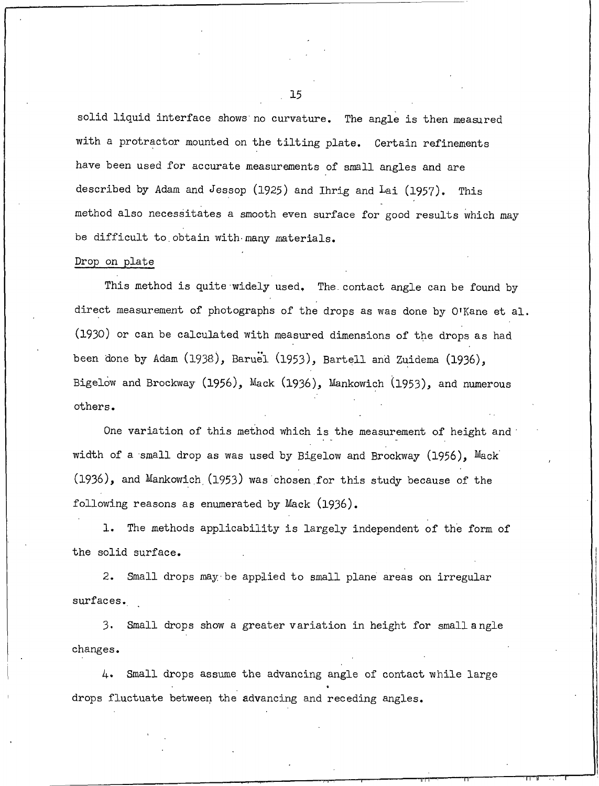solid liquid interface shows no curvature. The angle is then measured with a protractor mounted on the tilting plate. Certain refinements have been used for accurate measurements of small angles and are described by Adam and Jessop (1925) and Ihrig and Lai (1957). This method also necessitates a smooth even surface for good results which may be difficult to obtain with many materials.

### Drop on plate

This method is quite widely used. The contact angle can be found by direct measurement of photographs of the drops as was done by O'Kane et al. (1930) or can be calculated with measured dimensions of the drops as had been done by Adam (1938), Baruel (1953), Bartell and Zuidema (1936). Bigelow and Brockway (1956), Mack (1936), Mankowich (1953), and numerous others.

One variation of this method which is the measurement of height and width of a small drop as was used by Bigelow and Brockway  $(1956)$ , Mack (1936), and Mankowich (1953) was chosen for this study because of the following reasons as enumerated by Mack (1936).

1. The methods applicability is largely independent of the form of the solid surface.

2. Small drops may be applied to small plane areas on irregular surfaces.

 $3.$ Small drops show a greater variation in height for small angle changes.

 $4.$ Small drops assume the advancing angle of contact while large drops fluctuate between the advancing and receding angles.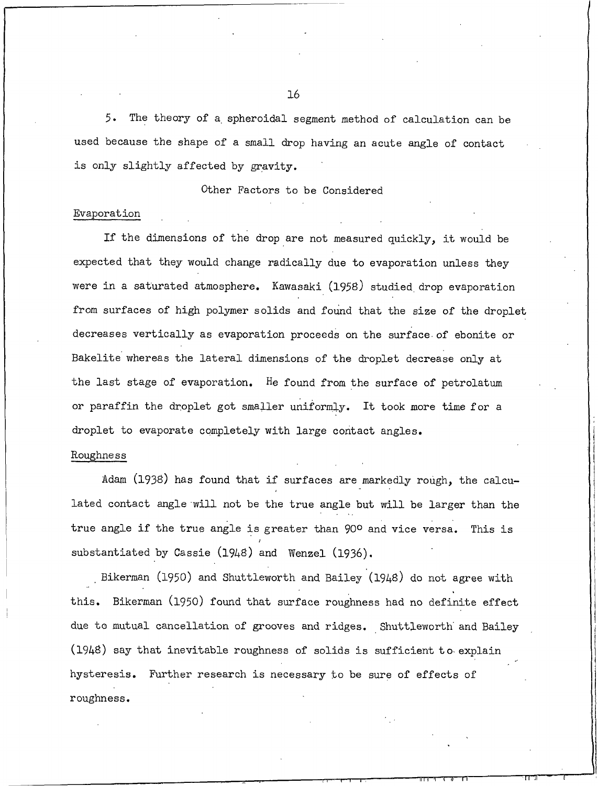5. The theory of a spheroidal segment method of calculation can be used because the shape of a small drop having an acute angle of contact is only slightly affected by gravity.

Other Factors to be Considered

#### Evaporation

If the dimensions of the drop are not measured quickly, it would be expected that they would change radically due to evaporation unless they were in a saturated atmosphere. Kawasaki (1958) studied drop evaporation from surfaces of high polymer solids and found that the size of the droplet decreases vertically as evaporation proceeds on the surface of ebonite or Bakelite whereas the lateral dimensions of the droplet decrease only at the last stage of evaporation. He found from the surface of petrolatum or paraffin the droplet got smaller uniformly. It took more time for a droplet to evaporate completely with large contact angles.

## Roughness

Adam (1938) has found that if surfaces are markedly rough, the calculated contact angle will not be the true angle but will be larger than the true angle if the true angle is greater than 90° and vice versa. This is substantiated by Cassie (1948) and Wenzel (1936).

Bikerman (1950) and Shuttleworth and Bailey (1948) do not agree with this. Bikerman (1950) found that surface roughness had no definite effect due to mutual cancellation of grooves and ridges. Shuttleworth and Bailey (1948) say that inevitable roughness of solids is sufficient to explain hysteresis. Further research is necessary to be sure of effects of roughness.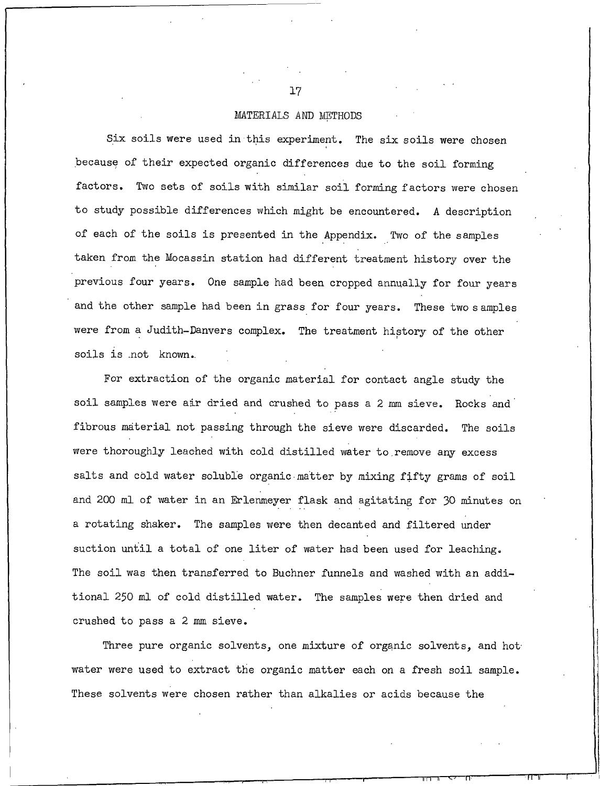#### MATERIALS AND METHODS

Six soils were used in this experiment. The six soils were chosen because of their expected organic differences due to the soil forming factors. Two sets of soils with similar soil forming factors were chosen to study possible differences which might be encountered. A description of each of the soils is presented in the Appendix. Two of the samples taken from the Mocassin station had different treatment history over the previous four years. One sample had been cropped annually for four years and the other sample had been in grass for four years. These two samples were from a Judith-Danvers complex. The treatment history of the other soils is not known.

For extraction of the organic material for contact angle study the soil samples were air dried and crushed to pass a 2 mm sieve. Rocks and fibrous material not passing through the sieve were discarded. The soils were thoroughly leached with cold distilled water to remove any excess salts and cold water soluble organic matter by mixing fifty grams of soil and 200 ml of water in an Erlenmeyer flask and agitating for 30 minutes on a rotating shaker. The samples were then decanted and filtered under suction until a total of one liter of water had been used for leaching. The soil was then transferred to Buchner funnels and washed with an additional 250 ml of cold distilled water. The samples were then dried and crushed to pass a 2 mm sieve.

Three pure organic solvents, one mixture of organic solvents, and hot water were used to extract the organic matter each on a fresh soil sample. These solvents were chosen rather than alkalies or acids because the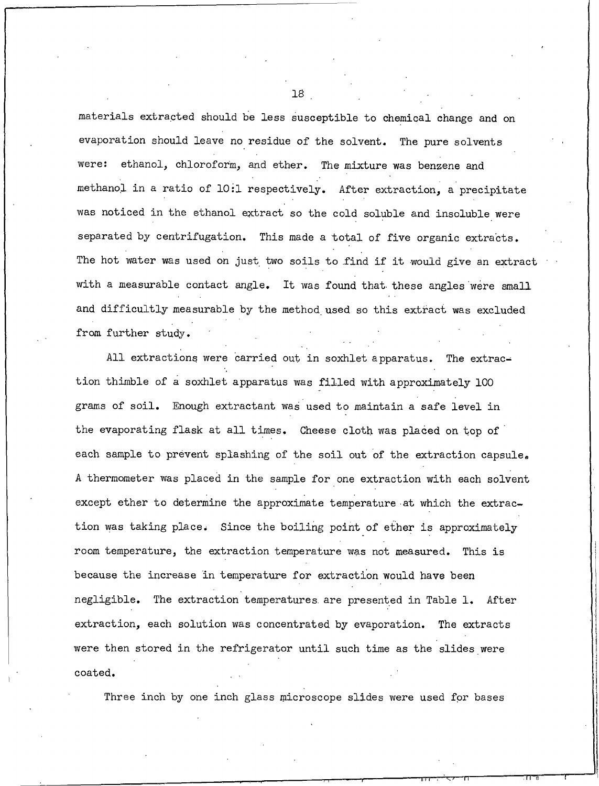materials extracted should be less susceptible to chemical change and on evaporation should leave no residue of the solvent. The pure solvents were: ethanol, chloroform, and ether. The mixture was benzene and methanol in a ratio of 10:1 respectively. After extraction, a precipitate was noticed in the ethanol extract so the cold soluble and insoluble were separated by centrifugation. This made a total of five organic extracts. The hot water was used on just two soils to find if it would give an extract with a measurable contact angle. It was found that these angles were small and difficultly measurable by the method used so this extract was excluded from further study.

All extractions were carried out in soxhlet apparatus. The extraction thimble of a soxhlet apparatus was filled with approximately 100 grams of soil. Enough extractant was used to maintain a safe level in the evaporating flask at all times. Cheese cloth was placed on top of each sample to prevent splashing of the soil out of the extraction capsule. A thermometer was placed in the sample for one extraction with each solvent except ether to determine the approximate temperature at which the extraction was taking place. Since the boiling point of ether is approximately room temperature, the extraction temperature was not measured. This is because the increase in temperature for extraction would have been negligible. The extraction temperatures are presented in Table 1. After extraction, each solution was concentrated by evaporation. The extracts were then stored in the refrigerator until such time as the slides were coated.

Three inch by one inch glass microscope slides were used for bases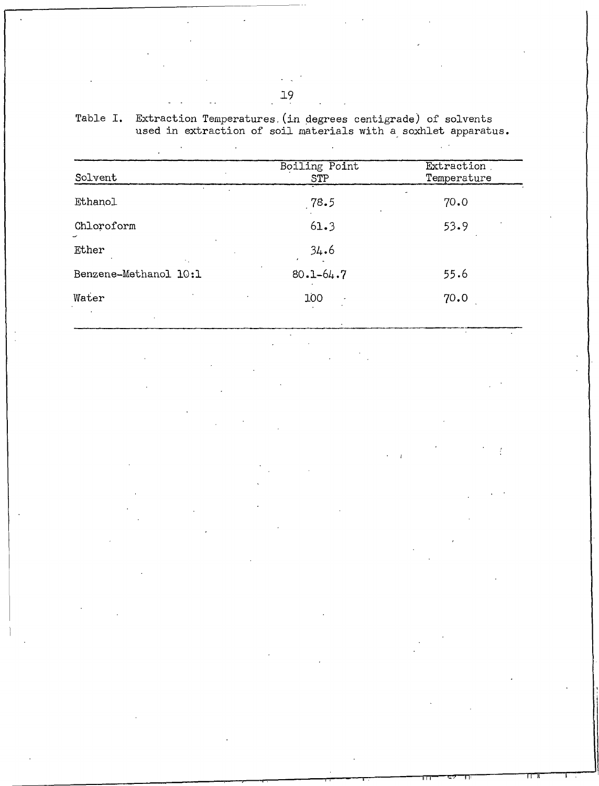| Solvent               | Boiling Point<br>STP | Extraction<br>Temperature |
|-----------------------|----------------------|---------------------------|
| <b>Ethanol</b>        | 78.5                 | 70.0                      |
| Chloroform<br>v       | 61.3                 | 53.9                      |
| Ether                 | 34.6                 |                           |
| Benzene-Methanol 10:1 | $80.1 - 64.7$        | 55.6                      |
| Water                 | 100                  | 70.0                      |

Extraction Temperatures (in degrees centigrade) of solvents<br>used in extraction of soil materials with a soxhlet apparatus. Table I.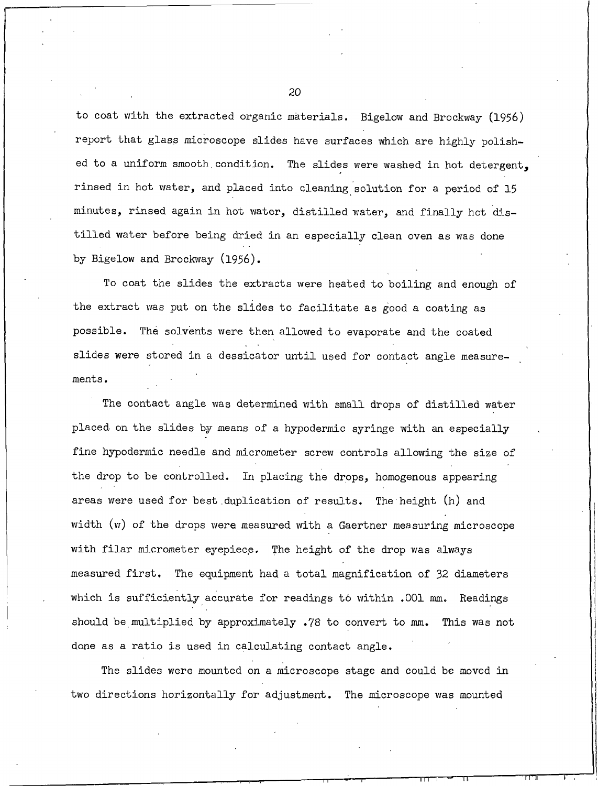to coat with the extracted organic materials. Bigelow and Brockway (1956) report that glass microscope slides have surfaces which are highly polished to a uniform smooth condition. The slides were washed in hot detergent, rinsed in hot water, and placed into cleaning solution for a period of 15 minutes, rinsed again in hot water, distilled water, and finally hot distilled water before being dried in an especially clean oven as was done by Bigelow and Brockway (1956).

To coat the slides the extracts were heated to boiling and enough of the extract was put on the slides to facilitate as good a coating as possible. The solvents were then allowed to evaporate and the coated slides were stored in a dessicator until used for contact angle measurements.

The contact angle was determined with small drops of distilled water placed on the slides by means of a hypodermic syringe with an especially fine hypodermic needle and micrometer screw controls allowing the size of the drop to be controlled. In placing the drops, homogenous appearing areas were used for best duplication of results. The height (h) and width (w) of the drops were measured with a Gaertner measuring microscope with filar micrometer eyepiece. The height of the drop was always measured first. The equipment had a total magnification of 32 diameters which is sufficiently accurate for readings to within .001 mm. Readings should be multiplied by approximately .78 to convert to mm. This was not done as a ratio is used in calculating contact angle.

The slides were mounted on a microscope stage and could be moved in two directions horizontally for adjustment. The microscope was mounted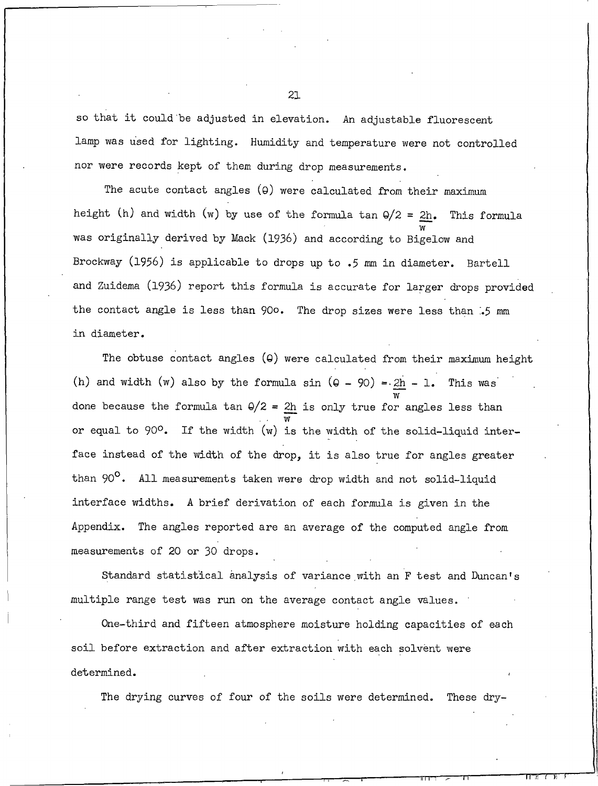so that it could be adjusted in elevation. An adjustable fluorescent lamp was used for lighting. Humidity and temperature were not controlled nor were records kept of them during drop measurements.

The acute contact angles (9) were calculated from their maximum height (h) and width (w) by use of the formula tan  $\frac{\theta}{2} = \frac{2h}{n}$ . This formula was originally derived by Mack (1936) and according to Bigelow and Brockway (1956) is applicable to drops up to .5 mm in diameter. Bartell and Zuidema (1936) report this formula is accurate for larger drops provided the contact angle is less than 900. The drop sizes were less than .5 mm in diameter.

The obtuse contact angles (9) were calculated from their maximum height (h) and width (w) also by the formula sin  $(9 - 90) = \frac{2h}{\pi} - 1$ . This was done because the formula tan  $\frac{Q}{2} = \frac{2h}{w}$  is only true for angles less than or equal to 90°. If the width (w) is the width of the solid-liquid interface instead of the width of the drop, it is also true for angles greater than 90°. All measurements taken were drop width and not solid-liquid interface widths. A brief derivation of each formula is given in the Appendix. The angles reported are an average of the computed angle from measurements of 20 or 30 drops.

Standard statistical analysis of variance with an F test and Duncan's multiple range test was run on the average contact angle values.

One-third and fifteen atmosphere moisture holding capacities of each soil before extraction and after extraction with each solvent were determined.

The drying curves of four of the soils were determined. These dry-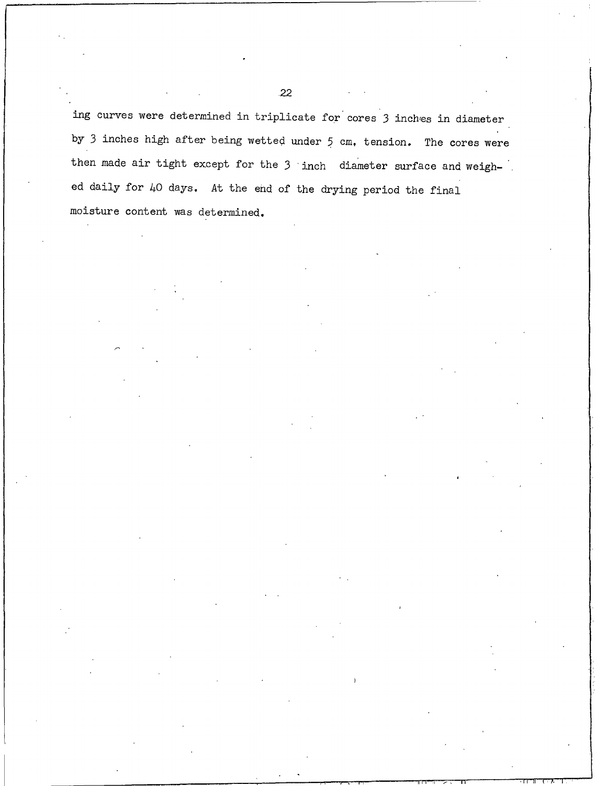ing curves were determined in triplicate for cores 3 inches in diameter by 3 inches high after being wetted under 5 cm, tension. The cores were then made air tight except for the 3 inch diameter surface and weighed daily for 40 days. At the end of the drying period the final moisture content was determined.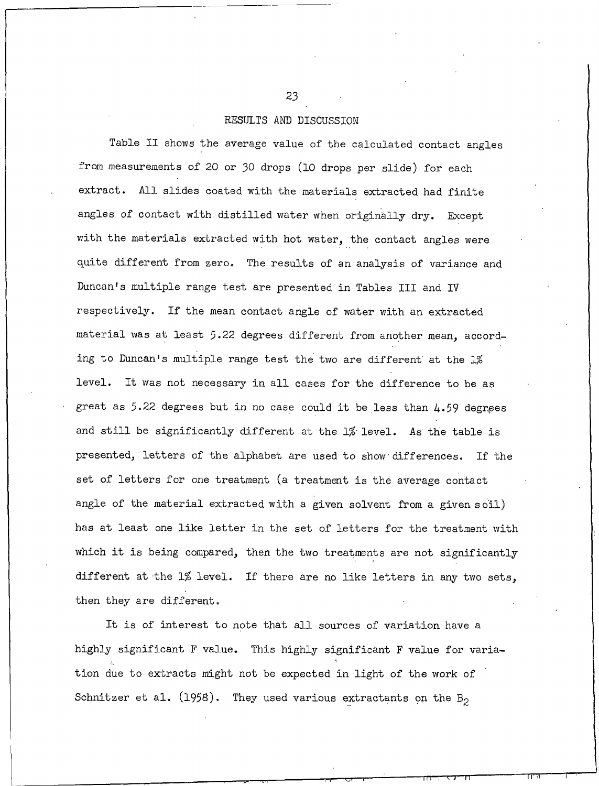## RESULTS AND DISCUSSION

Table II shows the average value of the calculated contact angles from measurements of 20 or 30 drops (10 drops per slide) for each extract. All slides coated with the materials extracted had finite angles of contact with distilled water when originally dry. Except with the materials extracted with hot water, the contact angles were quite different from zero. The results of an analysis of variance and Duncan's multiple range test are presented in Tables III and IV respectively. If the mean contact angle of water with an extracted material was at least 5.22 degrees different from another mean, according to Duncan's multiple range test the two are different at the 1%  $level.$ It was not necessary in all cases for the difference to be as great as 5.22 degrees but in no case could it be less than 4.59 degrees and still be significantly different at the 1% level. As the table is presented, letters of the alphabet are used to show differences. If the set of letters for one treatment (a treatment is the average contact angle of the material extracted with a given solvent from a given soil) has at least one like letter in the set of letters for the treatment with which it is being compared, then the two treatments are not significantly different at the 1% level. If there are no like letters in any two sets, then they are different.

It is of interest to note that all sources of variation have a highly significant F value. This highly significant F value for variation due to extracts might not be expected in light of the work of Schnitzer et al. (1958). They used various extractants on the  $B_2$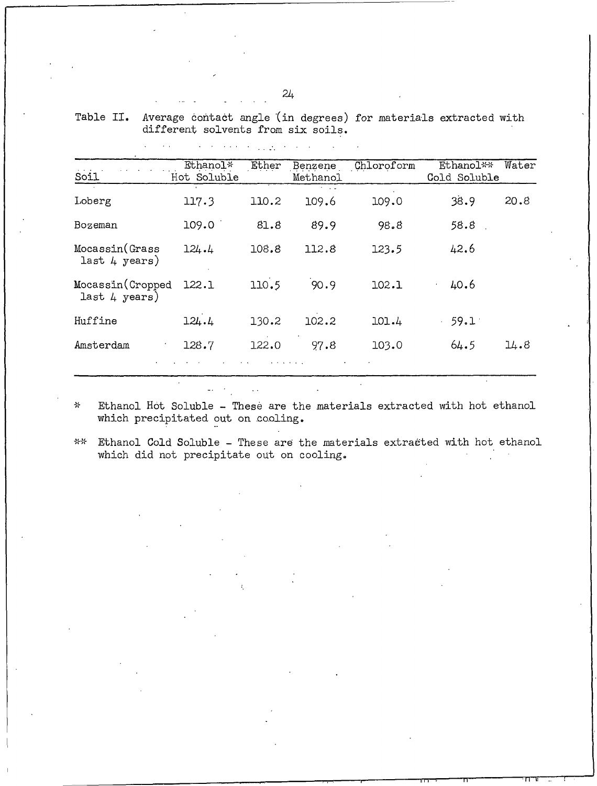| Soil                               | Ethanol*<br>Hot Soluble | Ether | Benzene<br>Methanol       | Chloroform | Ethanol**<br>Cold Soluble | Water |
|------------------------------------|-------------------------|-------|---------------------------|------------|---------------------------|-------|
| Loberg                             | 117.3                   | 110.2 | $\sim$ 100 $\pm$<br>109.6 | 109.0      | 38.9                      | 20.8  |
| Bozeman                            | 109.0                   | 81.8  | 89.9                      | 98.8       | 58.8                      |       |
| Mocassin(Grass<br>last 4 years)    | 124.4                   | 108.8 | 112.8                     | 123.5      | 42.6                      |       |
| Mocassin (Cropped<br>last 4 years) | 122.1                   | 110.5 | 90.9                      | 102.1      | 40.6                      |       |
| Huffine                            | 124.4                   | 130.2 | 102.2                     | 101.4      | 59.1                      |       |
| Amsterdam                          | 128.7                   | 122.0 | 97.8                      | 103.0      | 64.5                      | 14.8  |
|                                    |                         |       |                           |            |                           |       |

Table II. Average contact angle (in degrees) for materials extracted with different solvents from six soils.

Ethanol Hot Soluble - These are the materials extracted with hot ethanol  $\frac{1}{2}$ which precipitated out on cooling.

 $\mathcal{H}\mathcal{H}$ Ethanol Cold Soluble - These are the materials extracted with hot ethanol which did not precipitate out on cooling.

 $\mathcal{A}$  , we have the property of  $\mathcal{A}$ 

 $\omega_{\rm{eff}}=0$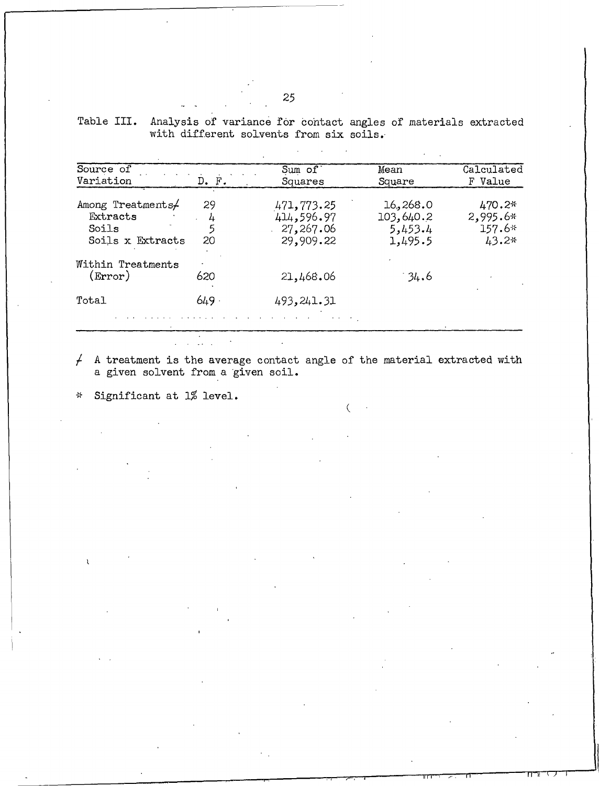| Table III. Analysis of variance for contact angles of materials extracted |  |
|---------------------------------------------------------------------------|--|
| with different solvents from six soils.                                   |  |

| Source of                                                  |                    | Sum $of$                                           | Mean                                        | Calculated                                |
|------------------------------------------------------------|--------------------|----------------------------------------------------|---------------------------------------------|-------------------------------------------|
| Variation                                                  | $D.$ $F.$          | Squares                                            | Square                                      | F Value                                   |
| Among Treatments/<br>Extracts<br>Soils<br>Soils x Extracts | 29<br>4<br>5<br>20 | 471,773.25<br>414,596.97<br>27,267.06<br>29,909.22 | 16,268.0<br>103,640.2<br>5,453.4<br>1,495.5 | 470.2*<br>$2,995.6*$<br>$157.6*$<br>43.2* |
| Within Treatments<br>$(\rm Error)$                         | 620                | 21,468.06                                          | 34.6                                        |                                           |
| Total                                                      | $649 -$            | 493,241.31                                         |                                             |                                           |

A treatment is the average contact angle of the material extracted with a given solvent from a given soil.  $\bigcup$ 

 $\overline{C}$ 

Significant at 1% level.  $\frac{\lambda}{N}$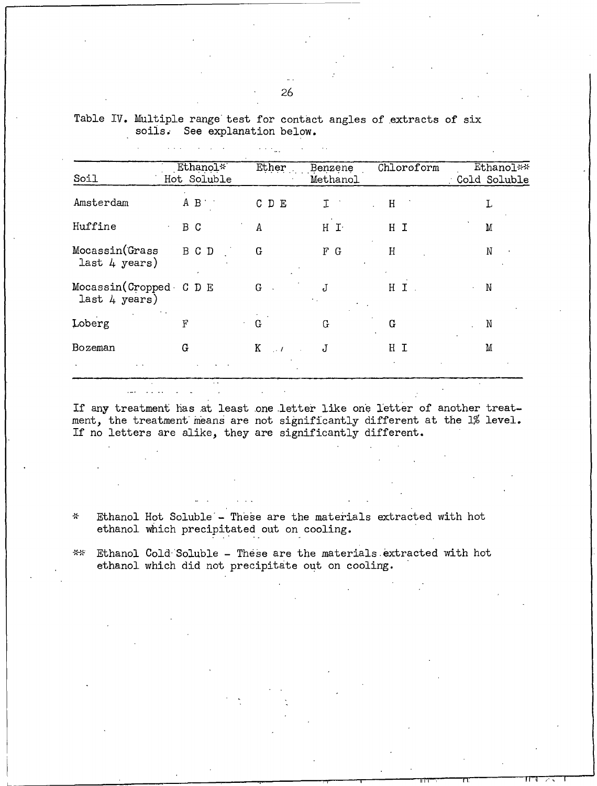| Soil                                    | Ethanol*<br>Hot Soluble | Ether         | Benzene<br>Methanol | Chloroform | Ethanol**<br>: Cold Soluble |
|-----------------------------------------|-------------------------|---------------|---------------------|------------|-----------------------------|
| Amsterdam                               | $A \quad B$             | C D E         | τ                   | H          | L                           |
| Huffine                                 | B C                     | $\Lambda$     | $H$ $I$             | H I        | M                           |
| Mocassin(Grass<br>last 4 years)         | B C D                   | G             | F G                 | H          | N                           |
| Mocassin(Cropped C D E<br>last 4 years) |                         | G             | J                   | H I        | N                           |
| Loberg                                  | F                       | G             | G                   | G          | N                           |
| Bozeman                                 | G                       | K<br>$\sim l$ | J                   | НI         | M                           |
|                                         |                         |               |                     |            |                             |

Table IV. Multiple range test for contact angles of extracts of six soils. See explanation below.

**Carlos** 

If any treatment has at least one letter like one letter of another treatment, the treatment means are not significantly different at the 1% level. If no letters are alike, they are significantly different.

 $\lambda$ Ethanol Hot Soluble - These are the materials extracted with hot ethanol which precipitated out on cooling.

\*\* Ethanol Cold Soluble - These are the materials extracted with hot ethanol which did not precipitate out on cooling.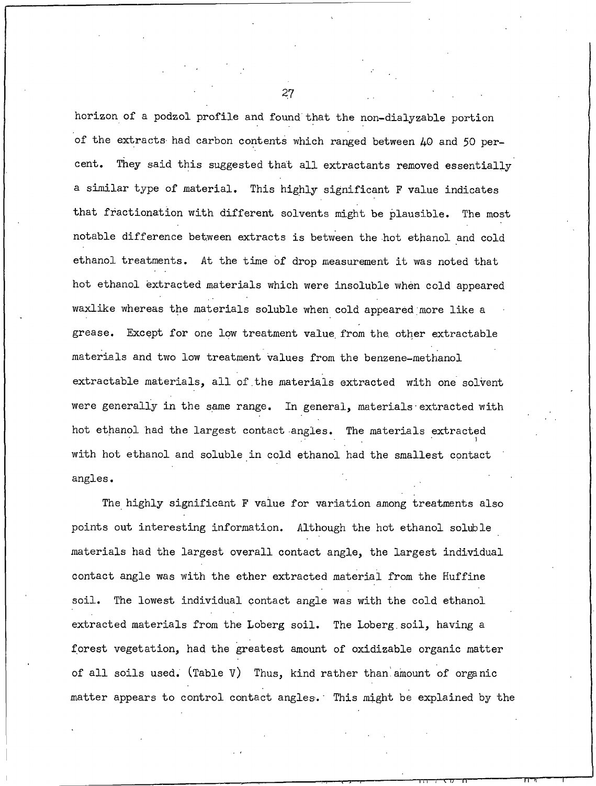horizon of a podzol profile and found that the non-dialyzable portion of the extracts had carbon contents which ranged between 40 and 50 per-They said this suggested that all extractants removed essentially cent. a similar type of material. This highly significant F value indicates that fractionation with different solvents might be plausible. The most notable difference between extracts is between the hot ethanol and cold ethanol treatments. At the time of drop measurement it was noted that hot ethanol extracted materials which were insoluble when cold appeared waxlike whereas the materials soluble when cold appeared more like a grease. Except for one low treatment value from the other extractable materials and two low treatment values from the benzene-methanol extractable materials, all of the materials extracted with one solvent were generally in the same range. In general, materials extracted with hot ethanol had the largest contact angles. The materials extracted with hot ethanol and soluble in cold ethanol had the smallest contact angles.

The highly significant F value for variation among treatments also points out interesting information. Although the hot ethanol soluble materials had the largest overall contact angle, the largest individual contact angle was with the ether extracted material from the Huffine soil. The lowest individual contact angle was with the cold ethanol extracted materials from the Loberg soil. The Loberg soil, having a forest vegetation, had the greatest amount of oxidizable organic matter of all soils used. (Table  $V$ ) Thus, kind rather than amount of organic matter appears to control contact angles. This might be explained by the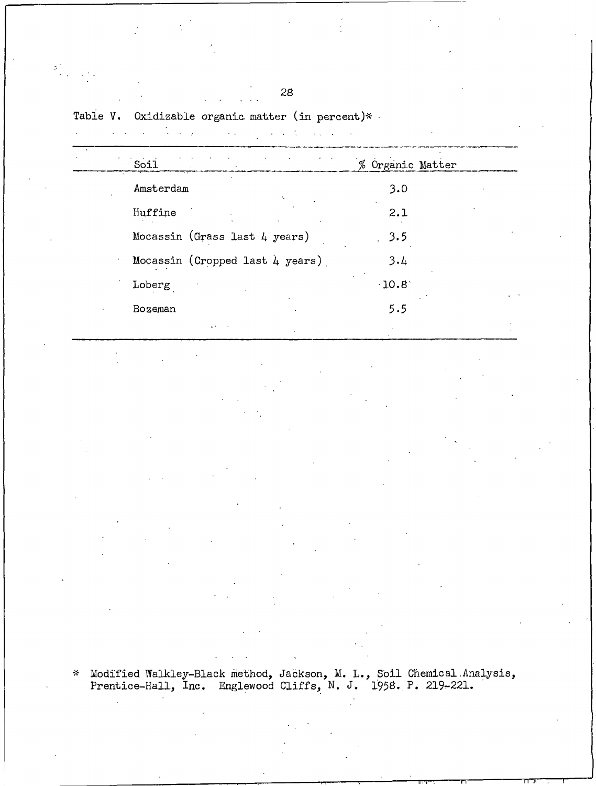Table V. Oxidizable organic matter (in percent)\*

 $\label{eq:2.1} \mathcal{L}(\mathcal{A})=\mathcal{L}(\mathcal{A})\mathcal{L}(\mathcal{A})=\mathcal{L}(\mathcal{A})\mathcal{L}(\mathcal{A})\mathcal{L}(\mathcal{A})\mathcal{L}(\mathcal{A})\mathcal{L}(\mathcal{A})\mathcal{L}(\mathcal{A})\mathcal{L}(\mathcal{A})\mathcal{L}(\mathcal{A})$  $\ddot{\phantom{a}}$ 

| Soil                            | % Organic Matter |
|---------------------------------|------------------|
| Amsterdam                       | 3.0              |
| Huffine                         | 2.1              |
| Mocassin (Grass last 4 years)   | 3.5              |
| Mocassin (Cropped last 4 years) | 3.4              |
| Loberg                          | 10.8             |
| Bozeman                         | 5.5              |
|                                 |                  |

\* Modified Walkley-Black method, Jackson, M. L., Soil Chemical Analysis,<br>Prentice-Hall, Inc. Englewood Cliffs, N. J. 1958. P. 219-221.

 $\begin{array}{l} \mathfrak{p}_{\alpha}^{\mathcal{F}} \\ \vdots \\ \mathfrak{p}_{\alpha}^{\mathcal{F}} \end{array} \quad \ \ \text{and} \quad \ \ \, \begin{array}{l} \mathfrak{p}_{\alpha}^{\mathcal{F}} \\ \vdots \\ \mathfrak{p}_{\alpha}^{\mathcal{F}} \end{array}$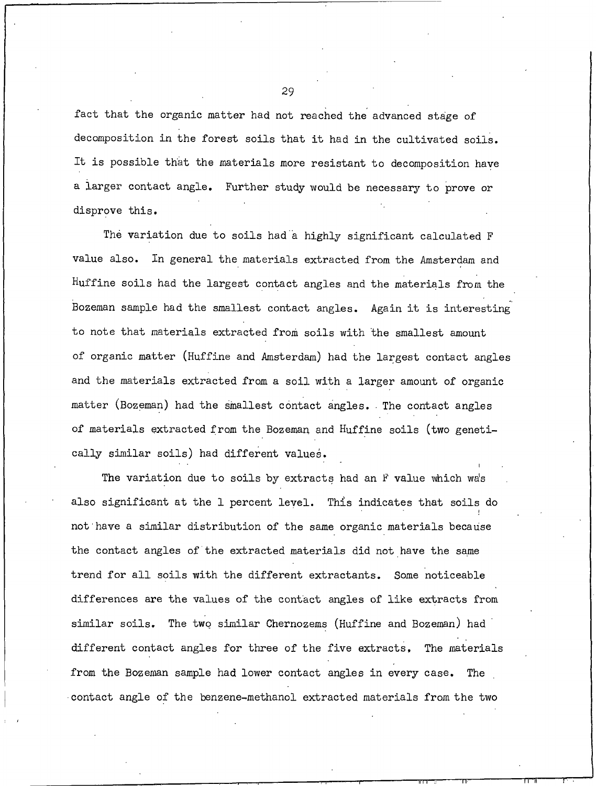fact that the organic matter had not reached the advanced stage of decomposition in the forest soils that it had in the cultivated soils. It is possible that the materials more resistant to decomposition have a larger contact angle. Further study would be necessary to prove or disprove this.

The variation due to soils had a highly significant calculated F value also. In general the materials extracted from the Amsterdam and Huffine soils had the largest contact angles and the materials from the Bozeman sample had the smallest contact angles. Again it is interesting to note that materials extracted from soils with the smallest amount of organic matter (Huffine and Amsterdam) had the largest contact angles and the materials extracted from a soil with a larger amount of organic matter (Bozeman) had the smallest contact angles. The contact angles of materials extracted from the Bozeman and Huffine soils (two genetically similar soils) had different values.

The variation due to soils by extracts had an F value which wa's also significant at the 1 percent level. This indicates that soils do not have a similar distribution of the same organic materials because the contact angles of the extracted materials did not have the same trend for all soils with the different extractants. Some noticeable differences are the values of the contact angles of like extracts from similar soils. The two similar Chernozems (Huffine and Bozeman) had different contact angles for three of the five extracts. The materials from the Bozeman sample had lower contact angles in every case. The contact angle of the benzene-methanol extracted materials from the two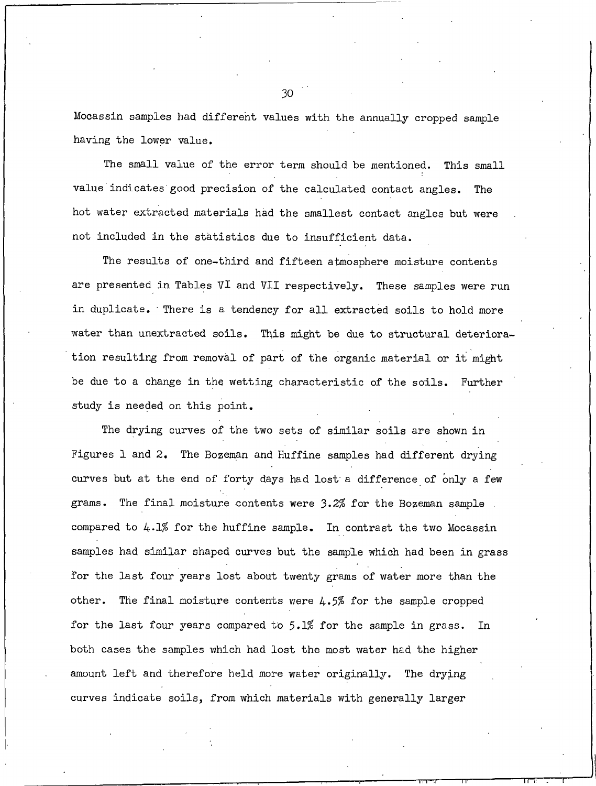Mocassin samples had different values with the annually cropped sample having the lower value.

The small value of the error term should be mentioned. This small value indicates good precision of the calculated contact angles. The hot water extracted materials had the smallest contact angles but were not included in the statistics due to insufficient data.

The results of one-third and fifteen atmosphere moisture contents are presented in Tables VI and VII respectively. These samples were run in duplicate. There is a tendency for all extracted soils to hold more water than unextracted soils. This might be due to structural deterioration resulting from removal of part of the organic material or it might be due to a change in the wetting characteristic of the soils. Further study is needed on this point.

The drying curves of the two sets of similar soils are shown in Figures 1 and 2. The Bozeman and Huffine samples had different drying curves but at the end of forty days had lost a difference of only a few grams. The final moisture contents were 3.2% for the Bozeman sample. compared to  $4.1\%$  for the huffine sample. In contrast the two Mocassin samples had similar shaped curves but the sample which had been in grass for the last four years lost about twenty grams of water more than the other. The final moisture contents were  $4.5\%$  for the sample cropped for the last four years compared to 5.1% for the sample in grass. In both cases the samples which had lost the most water had the higher amount left and therefore held more water originally. The drying curves indicate soils, from which materials with generally larger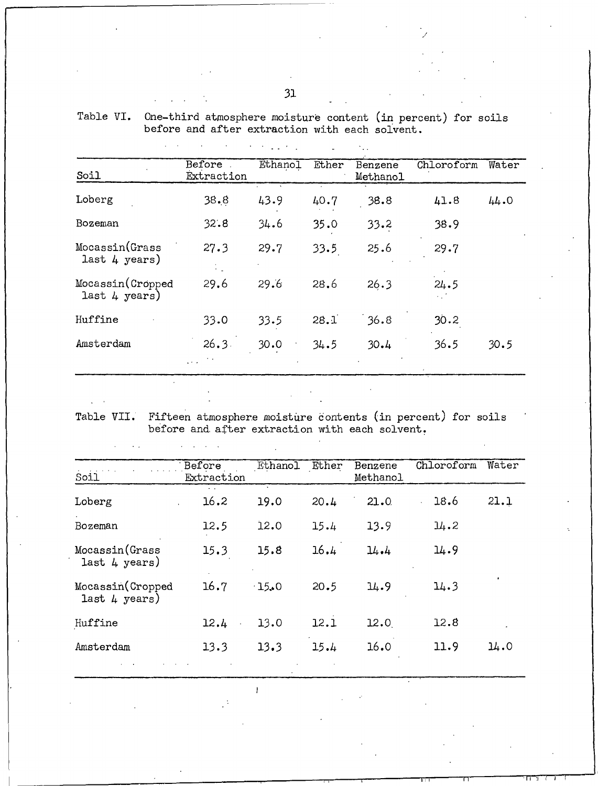|                                   |                      | and the co |       |                     |            |       |
|-----------------------------------|----------------------|------------|-------|---------------------|------------|-------|
| Soil                              | Before<br>Extraction | Ethanol    | Ether | Benzene<br>Methanol | Chloroform | Water |
| Loberg                            | 38.8                 | 43.9       | 40.7  | 38.8                | 41.8       | 44.0  |
| Bozeman                           | 32.8                 | 34.6       | 35.0  | 33.2                | 38.9       |       |
| Mocassin(Grass<br>last 4 years)   | 27.3                 | 29.7       | 33.5  | 25.6                | 29.7       |       |
| Mocassin(Cropped<br>last 4 years) | 29.6                 | 29.6       | 28.6  | 26.3                | 24.5<br>A. |       |
| Huffine                           | 33.0                 | 33.5       | 28.1  | 36.8                | 30.2       |       |
| Amsterdam                         | 26.3.                | 30.0       | 34.5  | 30.4                | 36.5       | 30.5  |

Table VI. One-third atmosphere moisture content (in percent) for soils<br>before and after extraction with each solvent.

 $\mathcal{A}=\mathcal{A}=\frac{1}{2}$  ,  $\mathcal{A}=\frac{1}{2}$ 

 $\mathbb{R}^2$ 

 $\mathbb{R}^{\mathbb{Z}^2}$ 

Table VII. Fifteen atmosphere moisture contents (in percent) for soils before and after extraction with each solvent.

| Soil                                       | Before<br>Extraction | <b>Ethanol</b> | Ether | Benzene<br>Methanol | Chloroform | Water |
|--------------------------------------------|----------------------|----------------|-------|---------------------|------------|-------|
| Loberg                                     | 16.2                 | 19.0           | 20.4  | 21.0                | 18.6       | 21.1  |
| Bozeman                                    | 12.5                 | 12.0           | 15.4  | 13.9                | $\mu$ .2   |       |
| Mocassin(Grass<br>last $4 \text{ years}$ ) | 15.3                 | 15.8           | 16.4  | 14.4                | 14.9       |       |
| Mocassin(Cropped<br>last 4 years)          | 16.7                 | $-15.0$        | 20.5  | 14.9                | 14.3       |       |
| Huffine                                    | 12.4                 | 13.0           | 12.1  | 12.0                | 12.8       |       |
| Amsterdam                                  | 13.3                 | 13.3           | 15.4  | 16.0                | 11.9       | 14.0  |

 $\mathbf{I}$